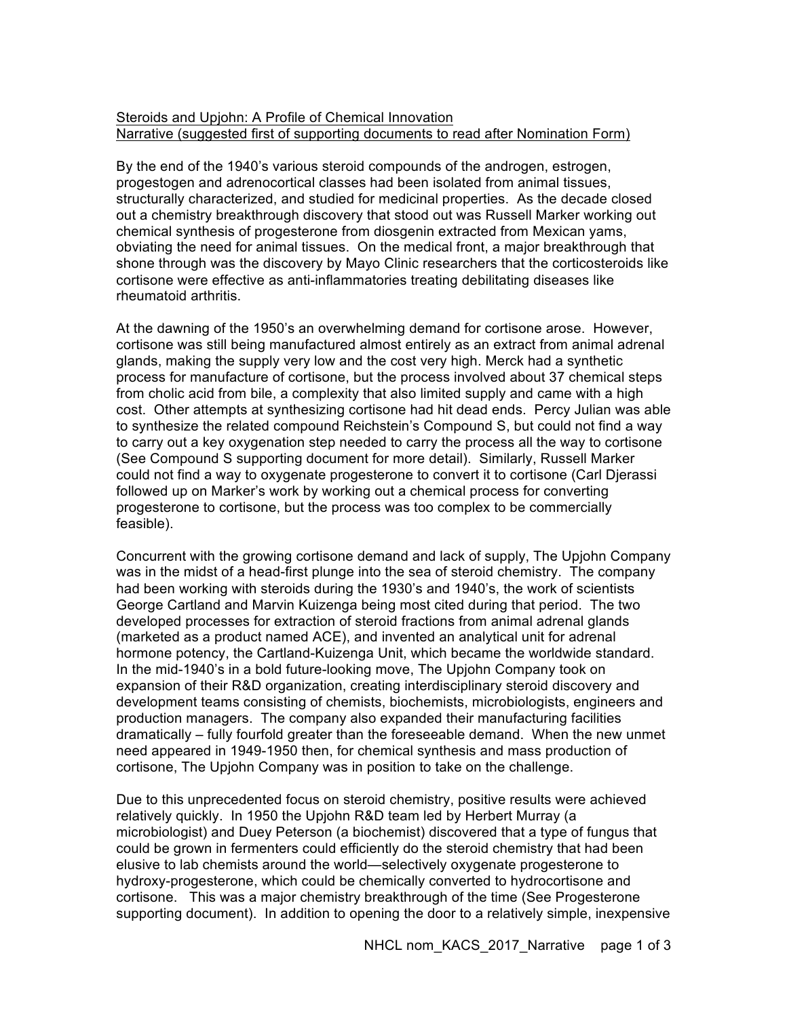## Steroids and Upjohn: A Profile of Chemical Innovation Narrative (suggested first of supporting documents to read after Nomination Form)

By the end of the 1940's various steroid compounds of the androgen, estrogen, progestogen and adrenocortical classes had been isolated from animal tissues, structurally characterized, and studied for medicinal properties. As the decade closed out a chemistry breakthrough discovery that stood out was Russell Marker working out chemical synthesis of progesterone from diosgenin extracted from Mexican yams, obviating the need for animal tissues. On the medical front, a major breakthrough that shone through was the discovery by Mayo Clinic researchers that the corticosteroids like cortisone were effective as anti-inflammatories treating debilitating diseases like rheumatoid arthritis.

At the dawning of the 1950's an overwhelming demand for cortisone arose. However, cortisone was still being manufactured almost entirely as an extract from animal adrenal glands, making the supply very low and the cost very high. Merck had a synthetic process for manufacture of cortisone, but the process involved about 37 chemical steps from cholic acid from bile, a complexity that also limited supply and came with a high cost. Other attempts at synthesizing cortisone had hit dead ends. Percy Julian was able to synthesize the related compound Reichstein's Compound S, but could not find a way to carry out a key oxygenation step needed to carry the process all the way to cortisone (See Compound S supporting document for more detail). Similarly, Russell Marker could not find a way to oxygenate progesterone to convert it to cortisone (Carl Djerassi followed up on Marker's work by working out a chemical process for converting progesterone to cortisone, but the process was too complex to be commercially feasible).

Concurrent with the growing cortisone demand and lack of supply, The Upjohn Company was in the midst of a head-first plunge into the sea of steroid chemistry. The company had been working with steroids during the 1930's and 1940's, the work of scientists George Cartland and Marvin Kuizenga being most cited during that period. The two developed processes for extraction of steroid fractions from animal adrenal glands (marketed as a product named ACE), and invented an analytical unit for adrenal hormone potency, the Cartland-Kuizenga Unit, which became the worldwide standard. In the mid-1940's in a bold future-looking move, The Upjohn Company took on expansion of their R&D organization, creating interdisciplinary steroid discovery and development teams consisting of chemists, biochemists, microbiologists, engineers and production managers. The company also expanded their manufacturing facilities dramatically – fully fourfold greater than the foreseeable demand. When the new unmet need appeared in 1949-1950 then, for chemical synthesis and mass production of cortisone, The Upjohn Company was in position to take on the challenge.

Due to this unprecedented focus on steroid chemistry, positive results were achieved relatively quickly. In 1950 the Upjohn R&D team led by Herbert Murray (a microbiologist) and Duey Peterson (a biochemist) discovered that a type of fungus that could be grown in fermenters could efficiently do the steroid chemistry that had been elusive to lab chemists around the world—selectively oxygenate progesterone to hydroxy-progesterone, which could be chemically converted to hydrocortisone and cortisone. This was a major chemistry breakthrough of the time (See Progesterone supporting document). In addition to opening the door to a relatively simple, inexpensive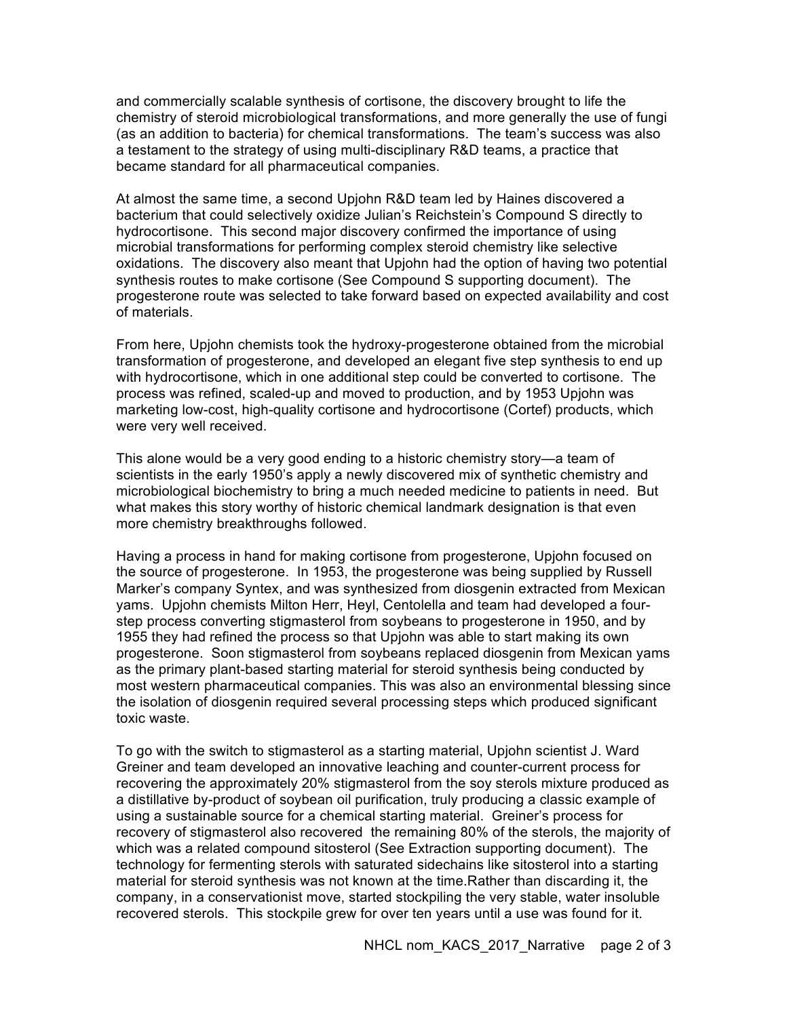and commercially scalable synthesis of cortisone, the discovery brought to life the chemistry of steroid microbiological transformations, and more generally the use of fungi (as an addition to bacteria) for chemical transformations. The team's success was also a testament to the strategy of using multi-disciplinary R&D teams, a practice that became standard for all pharmaceutical companies.

At almost the same time, a second Upjohn R&D team led by Haines discovered a bacterium that could selectively oxidize Julian's Reichstein's Compound S directly to hydrocortisone. This second major discovery confirmed the importance of using microbial transformations for performing complex steroid chemistry like selective oxidations. The discovery also meant that Upjohn had the option of having two potential synthesis routes to make cortisone (See Compound S supporting document). The progesterone route was selected to take forward based on expected availability and cost of materials.

From here, Upjohn chemists took the hydroxy-progesterone obtained from the microbial transformation of progesterone, and developed an elegant five step synthesis to end up with hydrocortisone, which in one additional step could be converted to cortisone. The process was refined, scaled-up and moved to production, and by 1953 Upjohn was marketing low-cost, high-quality cortisone and hydrocortisone (Cortef) products, which were very well received.

This alone would be a very good ending to a historic chemistry story—a team of scientists in the early 1950's apply a newly discovered mix of synthetic chemistry and microbiological biochemistry to bring a much needed medicine to patients in need. But what makes this story worthy of historic chemical landmark designation is that even more chemistry breakthroughs followed.

Having a process in hand for making cortisone from progesterone, Upjohn focused on the source of progesterone. In 1953, the progesterone was being supplied by Russell Marker's company Syntex, and was synthesized from diosgenin extracted from Mexican yams. Upjohn chemists Milton Herr, Heyl, Centolella and team had developed a fourstep process converting stigmasterol from soybeans to progesterone in 1950, and by 1955 they had refined the process so that Upjohn was able to start making its own progesterone. Soon stigmasterol from soybeans replaced diosgenin from Mexican yams as the primary plant-based starting material for steroid synthesis being conducted by most western pharmaceutical companies. This was also an environmental blessing since the isolation of diosgenin required several processing steps which produced significant toxic waste.

To go with the switch to stigmasterol as a starting material, Upjohn scientist J. Ward Greiner and team developed an innovative leaching and counter-current process for recovering the approximately 20% stigmasterol from the soy sterols mixture produced as a distillative by-product of soybean oil purification, truly producing a classic example of using a sustainable source for a chemical starting material. Greiner's process for recovery of stigmasterol also recovered the remaining 80% of the sterols, the majority of which was a related compound sitosterol (See Extraction supporting document). The technology for fermenting sterols with saturated sidechains like sitosterol into a starting material for steroid synthesis was not known at the time.Rather than discarding it, the company, in a conservationist move, started stockpiling the very stable, water insoluble recovered sterols. This stockpile grew for over ten years until a use was found for it.